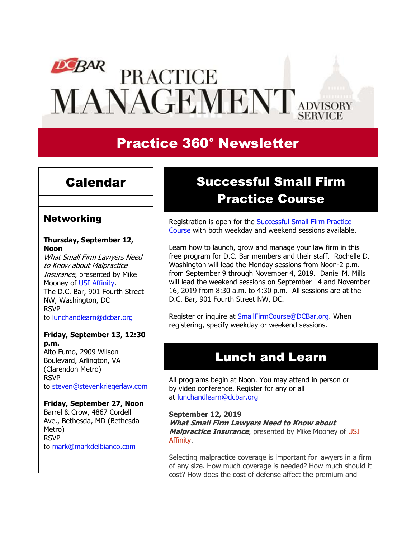# **DEBAR**<br>PRACTICE MANAGEMENT ADVISORY

# Practice 360° Newsletter

## Calendar

## **Networking**

### **Thursday, September 12, Noon**

What Small Firm Lawyers Need to Know about Malpractice Insurance, presented by Mike Mooney of [USI Affinity.](https://www.dcbar.org/membership/member-benefits.cfm?utm_source=Real%20Magnet&utm_medium=INSERT_CHANNEL&utm_campaign=INSERT_LINK_ID#Professional_Liability) The D.C. Bar, 901 Fourth Street NW, Washington, DC RSVP to [lunchandlearn@dcbar.org](mailto:lunchandlearn@dcbar.org?subject=RSVP%20to%20Lunch%20and%20Learn%20)

#### **Friday, September 13, 12:30 p.m.**

Alto Fumo, 2909 Wilson Boulevard, Arlington, VA (Clarendon Metro) RSVP to [steven@stevenkriegerlaw.com](mailto:steven@stevenkriegerlaw.com?subject=RSVP%20to%20networking%20event%20at%20Alto%20Fumo)

#### **Friday, September 27, Noon**

Barrel & Crow, 4867 Cordell Ave., Bethesda, MD (Bethesda Metro) RSVP to [mark@markdelbianco.com](mailto:mark@markdelbianco.com?subject=RSVP%20to%20networking%20event%20at%20Barrel%20%26%20Crow)

# Successful Small Firm Practice Course

Registration is open for the Successful Small Firm Practice [Course](http://www.dcbar.org/bar-resources/practice-management-advisory-service/successful-practice.cfm?utm_source=Real%20Magnet&utm_medium=INSERT_CHANNEL&utm_campaign=INSERT_LINK_ID) with both weekday and weekend sessions available.

Learn how to launch, grow and manage your law firm in this free program for D.C. Bar members and their staff. Rochelle D. Washington will lead the Monday sessions from Noon-2 p.m. from September 9 through November 4, 2019. Daniel M. Mills will lead the weekend sessions on September 14 and November 16, 2019 from 8:30 a.m. to 4:30 p.m. All sessions are at the D.C. Bar, 901 Fourth Street NW, DC.

Register or inquire at [SmallFirmCourse@DCBar.org.](mailto:SmallFirmCourse@DCBar.org) When registering, specify weekday or weekend sessions.

# Lunch and Learn

All programs begin at Noon. You may attend in person or by video conference. Register for any or all at [lunchandlearn@dcbar.org](mailto:lunchandlearn@dcbar.org?subject=Lunch%20and%20Learn)

#### **September 12, 2019**

**What Small Firm Lawyers Need to Know about Malpractice Insurance**, presented by Mike Mooney of [USI](http://www.mybarinsurance.com/dcbar/) [Affinity.](http://www.mybarinsurance.com/dcbar/)

Selecting malpractice coverage is important for lawyers in a firm of any size. How much coverage is needed? How much should it cost? How does the cost of defense affect the premium and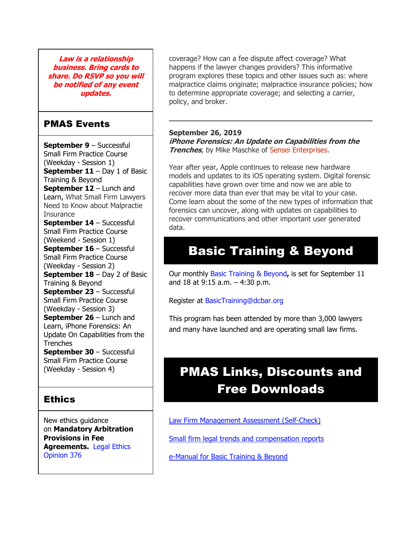**Law is a relationship business. Bring cards to share. Do RSVP so you will be notified of any event updates.**

## PMAS Events

**September 9** – Successful Small Firm Practice Course (Weekday - Session 1) **September 11** – Day 1 of Basic Training & Beyond **September 12** – Lunch and Learn, What Small Firm Lawyers Need to Know about Malpractie **Insurance September 14** – Successful Small Firm Practice Course (Weekend - Session 1) **September 16** – Successful Small Firm Practice Course (Weekday - Session 2) **September 18** – Day 2 of Basic Training & Beyond **September 23** – Successful Small Firm Practice Course (Weekday - Session 3) **September 26** – Lunch and Learn, iPhone Forensics: An Update On Capabilities from the **Trenches September 30** – Successful Small Firm Practice Course (Weekday - Session 4)

## **Ethics**

New ethics guidance on **Mandatory Arbitration Provisions in Fee Agreements.** [Legal Ethics](https://www.dcbar.org/bar-resources/legal-ethics/opinions/Ethics-Opinion-376.cfm?utm_source=Real%20Magnet&utm_medium=INSERT_CHANNEL&utm_campaign=INSERT_LINK_ID)  [Opinion 376](https://www.dcbar.org/bar-resources/legal-ethics/opinions/Ethics-Opinion-376.cfm?utm_source=Real%20Magnet&utm_medium=INSERT_CHANNEL&utm_campaign=INSERT_LINK_ID)

coverage? How can a fee dispute affect coverage? What happens if the lawyer changes providers? This informative program explores these topics and other issues such as: where malpractice claims originate; malpractice insurance policies; how to determine appropriate coverage; and selecting a carrier, policy, and broker.

## **September 26, 2019**

**iPhone Forensics: An Update on Capabilities from the Trenches**, by Mike Maschke of Sensei [Enterprises.](https://senseient.com/)

Year after year, Apple continues to release new hardware models and updates to its iOS operating system. Digital forensic capabilities have grown over time and now we are able to recover more data than ever that may be vital to your case. Come learn about the some of the new types of information that forensics can uncover, along with updates on capabilities to recover communications and other important user generated data.

# Basic Training & Beyond

Our monthly [Basic Training & Beyond](http://www.dcbar.org/bar-resources/practice-management-advisory-service/basic-training.cfm?utm_source=Real%20Magnet&utm_medium=INSERT_CHANNEL&utm_campaign=INSERT_LINK_ID)**,** is set for September 11 and 18 at 9:15 a.m. – 4:30 p.m.

Register at [BasicTraining@dcbar.org](mailto:BasicTraining@dcbar.org?subject=Basic%20Training%20%26%20Beyond) 

This program has been attended by more than 3,000 lawyers and many have launched and are operating small law firms.

# PMAS Links, Discounts and Free Downloads

[Law Firm Management Assessment \(Self-Check\)](https://www.dcbar.org/bar-resources/practice-management-advisory-service/selfcheck.cfm?utm_source=Real%20Magnet&utm_medium=INSERT_CHANNEL&utm_campaign=INSERT_LINK_ID)

[Small firm legal trends and compensation reports](http://www.dcbar.org/bar-resources/practice-management-advisory-service/basic-training-supplement.cfm?utm_source=Real%20Magnet&utm_medium=INSERT_CHANNEL&utm_campaign=INSERT_LINK_ID)

[e-Manual for Basic Training & Beyond](http://www.dcbar.org/bar-resources/practice-management-advisory-service/upload/eManual-050316.pdf?utm_source=Real%20Magnet&utm_medium=INSERT_CHANNEL&utm_campaign=INSERT_LINK_ID)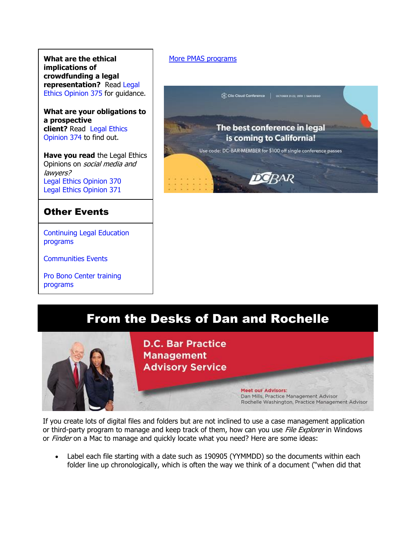**What are the ethical implications of crowdfunding a legal representation?** Read [Legal](http://www.dcbar.org/bar-resources/legal-ethics/opinions/Ethics-Opinion-375.cfm?utm_source=Real%20Magnet&utm_medium=INSERT_CHANNEL&utm_campaign=INSERT_LINK_ID)  [Ethics Opinion 375](http://www.dcbar.org/bar-resources/legal-ethics/opinions/Ethics-Opinion-375.cfm?utm_source=Real%20Magnet&utm_medium=INSERT_CHANNEL&utm_campaign=INSERT_LINK_ID) for guidance.

**What are your obligations to a prospective client?** Read [Legal Ethics](http://www.dcbar.org/bar-resources/legal-ethics/opinions/Ethics-Opinion-374.cfm?utm_source=Real%20Magnet&utm_medium=INSERT_CHANNEL&utm_campaign=INSERT_LINK_ID)  [Opinion 374](http://www.dcbar.org/bar-resources/legal-ethics/opinions/Ethics-Opinion-374.cfm?utm_source=Real%20Magnet&utm_medium=INSERT_CHANNEL&utm_campaign=INSERT_LINK_ID) to find out.

**Have you read** the Legal Ethics Opinions on social media and lawyers? [Legal Ethics Opinion](http://www.dcbar.org/bar-resources/legal-ethics/opinions/Ethics-Opinion-370.cfm?utm_source=Real%20Magnet&utm_medium=INSERT_CHANNEL&utm_campaign=INSERT_LINK_ID) 370 [Legal Ethics Opinion](http://www.dcbar.org/bar-resources/legal-ethics/opinions/Ethics-Opinion-371.cfm?utm_source=Real%20Magnet&utm_medium=INSERT_CHANNEL&utm_campaign=INSERT_LINK_ID) 371

## Other Events

[Continuing Legal Education](https://join.dcbar.org/eweb/DynamicPage.aspx?Site=DCBar&WebKey=cbe606bc-88d4-4d37-872c-f48d412a59e5&evt_etc_key=7aaf572d-f662-422f-9fe7-0ae3f4b705be&utm_source=Real%20Magnet&utm_medium=INSERT_CHANNEL&utm_campaign=INSERT_LINK_ID)  [programs](https://join.dcbar.org/eweb/DynamicPage.aspx?Site=DCBar&WebKey=cbe606bc-88d4-4d37-872c-f48d412a59e5&evt_etc_key=7aaf572d-f662-422f-9fe7-0ae3f4b705be&utm_source=Real%20Magnet&utm_medium=INSERT_CHANNEL&utm_campaign=INSERT_LINK_ID)

[Communities Events](https://join.dcbar.org/eweb/DynamicPage.aspx?site=dcbar&webcode=EventList&utm_source=Real%20Magnet&utm_medium=INSERT_CHANNEL&utm_campaign=INSERT_LINK_ID)

[Pro Bono Center training](http://www.dcbar.org/pro-bono/resources-and-training/pro-bono-training.cfm?utm_source=Real%20Magnet&utm_medium=INSERT_CHANNEL&utm_campaign=INSERT_LINK_ID)  [programs](http://www.dcbar.org/pro-bono/resources-and-training/pro-bono-training.cfm?utm_source=Real%20Magnet&utm_medium=INSERT_CHANNEL&utm_campaign=INSERT_LINK_ID)

## [More PMAS programs](http://www.dcbar.org/bar-resources/practice-management-advisory-service/?utm_source=Real%20Magnet&utm_medium=INSERT_CHANNEL&utm_campaign=INSERT_LINK_ID)



## From the Desks of Dan and Rochelle



If you create lots of digital files and folders but are not inclined to use a case management application or third-party program to manage and keep track of them, how can you use *File Explorer* in Windows or Finder on a Mac to manage and quickly locate what you need? Here are some ideas:

Label each file starting with a date such as 190905 (YYMMDD) so the documents within each folder line up chronologically, which is often the way we think of a document ("when did that